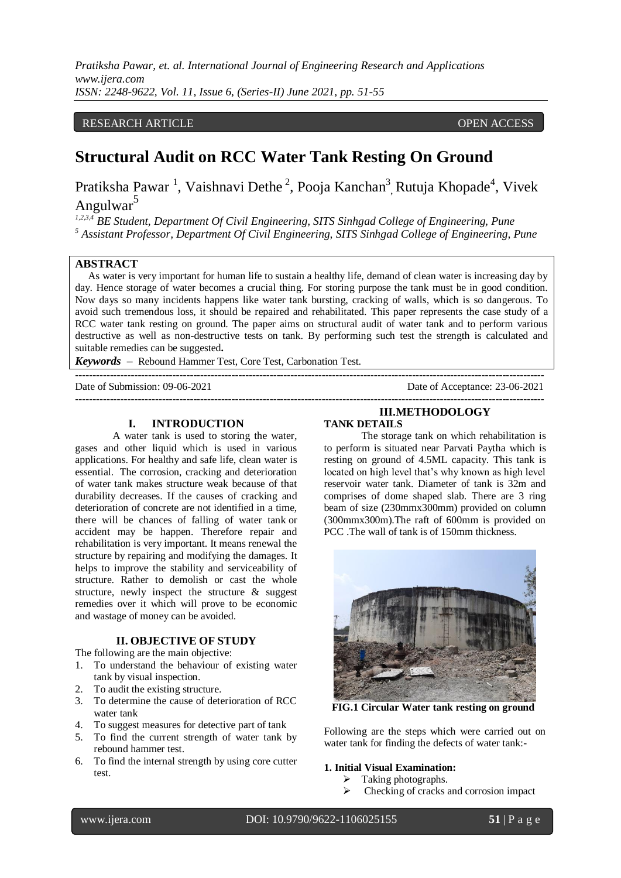## RESEARCH ARTICLE **CONSERVERS** OPEN ACCESS

# **Structural Audit on RCC Water Tank Resting On Ground**

Pratiksha Pawar<sup>1</sup>, Vaishnavi Dethe<sup>2</sup>, Pooja Kanchan<sup>3</sup>, Rutuja Khopade<sup>4</sup>, Vivek Angulwar<sup>5</sup>

*1,2,3,4 BE Student, Department Of Civil Engineering, SITS Sinhgad College of Engineering, Pune <sup>5</sup> Assistant Professor, Department Of Civil Engineering, SITS Sinhgad College of Engineering, Pune*

## **ABSTRACT**

As water is very important for human life to sustain a healthy life, demand of clean water is increasing day by day. Hence storage of water becomes a crucial thing. For storing purpose the tank must be in good condition. Now days so many incidents happens like water tank bursting, cracking of walls, which is so dangerous. To avoid such tremendous loss, it should be repaired and rehabilitated. This paper represents the case study of a RCC water tank resting on ground. The paper aims on structural audit of water tank and to perform various destructive as well as non-destructive tests on tank. By performing such test the strength is calculated and suitable remedies can be suggested**.**

---------------------------------------------------------------------------------------------------------------------------------------

*Keywords* **–** Rebound Hammer Test, Core Test, Carbonation Test.

Date of Submission: 09-06-2021 Date of Acceptance: 23-06-2021

---------------------------------------------------------------------------------------------------------------------------------------

### **I. INTRODUCTION**

A water tank is used to storing the water, gases and other liquid which is used in various applications. For healthy and safe life, clean water is essential. The corrosion, cracking and deterioration of water tank makes structure weak because of that durability decreases. If the causes of cracking and deterioration of concrete are not identified in a time, there will be chances of falling of water tank or accident may be happen. Therefore repair and rehabilitation is very important. It means renewal the structure by repairing and modifying the damages. It helps to improve the stability and serviceability of structure. Rather to demolish or cast the whole structure, newly inspect the structure & suggest remedies over it which will prove to be economic and wastage of money can be avoided.

#### **II. OBJECTIVE OF STUDY**

The following are the main objective:

- 1. To understand the behaviour of existing water tank by visual inspection.
- 2. To audit the existing structure.
- 3. To determine the cause of deterioration of RCC water tank
- 4. To suggest measures for detective part of tank
- 5. To find the current strength of water tank by rebound hammer test.
- 6. To find the internal strength by using core cutter test.

#### **III.METHODOLOGY TANK DETAILS**

The storage tank on which rehabilitation is to perform is situated near Parvati Paytha which is resting on ground of 4.5ML capacity. This tank is located on high level that's why known as high level reservoir water tank. Diameter of tank is 32m and comprises of dome shaped slab. There are 3 ring beam of size (230mmx300mm) provided on column (300mmx300m).The raft of 600mm is provided on PCC .The wall of tank is of 150mm thickness.



 **FIG.1 Circular Water tank resting on ground**

Following are the steps which were carried out on water tank for finding the defects of water tank:-

#### **1. Initial Visual Examination:**

- $\triangleright$  Taking photographs.
- Checking of cracks and corrosion impact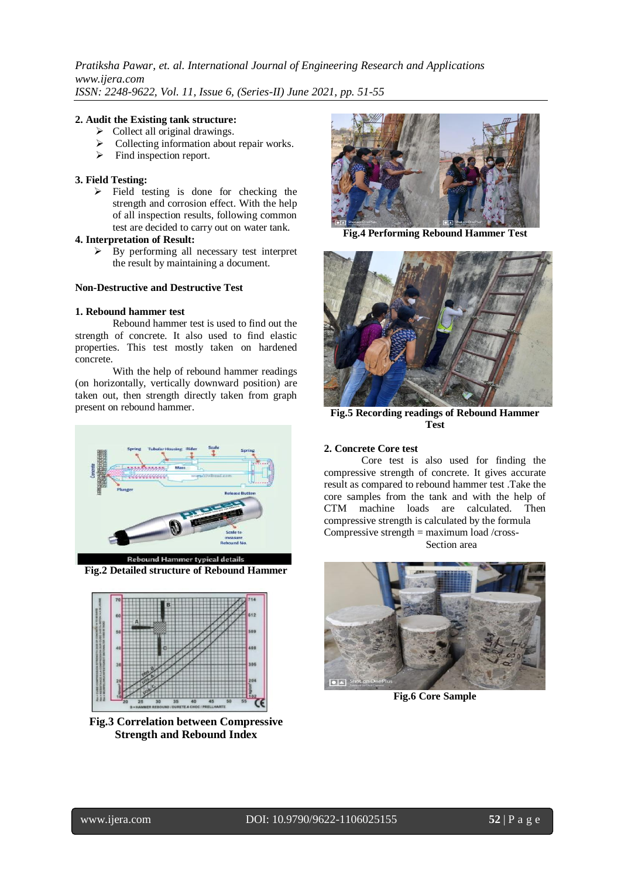### **2. Audit the Existing tank structure:**

- $\triangleright$  Collect all original drawings.
- Collecting information about repair works.
- $\triangleright$  Find inspection report.

## **3. Field Testing:**

 $\triangleright$  Field testing is done for checking the strength and corrosion effect. With the help of all inspection results, following common test are decided to carry out on water tank.

### **4. Interpretation of Result:**

 $\triangleright$  By performing all necessary test interpret the result by maintaining a document.

#### **Non-Destructive and Destructive Test**

### **1. Rebound hammer test**

Rebound hammer test is used to find out the strength of concrete. It also used to find elastic properties. This test mostly taken on hardened concrete.

With the help of rebound hammer readings (on horizontally, vertically downward position) are taken out, then strength directly taken from graph present on rebound hammer.



**Fig.2 Detailed structure of Rebound Hammer**



**Fig.3 Correlation between Compressive Strength and Rebound Index**



**Fig.4 Performing Rebound Hammer Test**



**Fig.5 Recording readings of Rebound Hammer Test**

## **2. Concrete Core test**

Core test is also used for finding the compressive strength of concrete. It gives accurate result as compared to rebound hammer test .Take the core samples from the tank and with the help of CTM machine loads are calculated. Then compressive strength is calculated by the formula Compressive strength = maximum load /cross-

Section area



**Fig.6 Core Sample**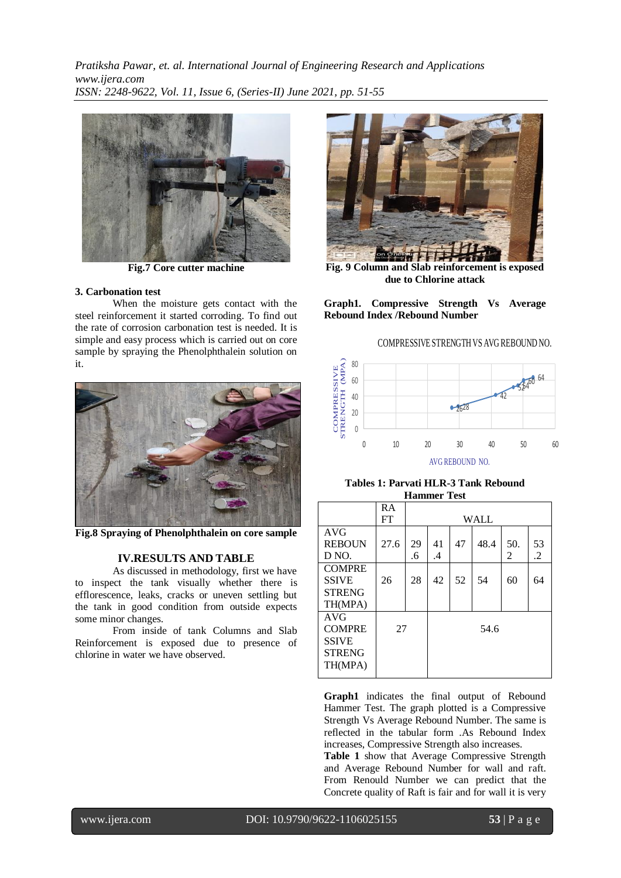

**Fig.7 Core cutter machine**

### **3. Carbonation test**

When the moisture gets contact with the steel reinforcement it started corroding. To find out the rate of corrosion carbonation test is needed. It is simple and easy process which is carried out on core sample by spraying the Phenolphthalein solution on it.



**Fig.8 Spraying of Phenolphthalein on core sample**

#### **IV.RESULTS AND TABLE**

As discussed in methodology, first we have to inspect the tank visually whether there is efflorescence, leaks, cracks or uneven settling but the tank in good condition from outside expects some minor changes.

From inside of tank Columns and Slab Reinforcement is exposed due to presence of chlorine in water we have observed.



**Fig. 9 Column and Slab reinforcement is exposed due to Chlorine attack**

**Graph1. Compressive Strength Vs Average Rebound Index /Rebound Number**

## COMPRESSIVE STRENGTH VS AVG REBOUND NO.



**Tables 1: Parvati HLR-3 Tank Rebound Hammer Test**

|               | RA   |      |    |    |      |                |                |
|---------------|------|------|----|----|------|----------------|----------------|
|               | FT   | WALL |    |    |      |                |                |
| AVG           |      |      |    |    |      |                |                |
| <b>REBOUN</b> | 27.6 | 29   | 41 | 47 | 48.4 | 50.            | 53             |
| D NO.         |      | .6   | .4 |    |      | $\mathfrak{D}$ | $\overline{2}$ |
| <b>COMPRE</b> |      |      |    |    |      |                |                |
| <b>SSIVE</b>  | 26   | 28   | 42 | 52 | 54   | 60             | 64             |
| <b>STRENG</b> |      |      |    |    |      |                |                |
| TH(MPA)       |      |      |    |    |      |                |                |
| <b>AVG</b>    |      |      |    |    |      |                |                |
| <b>COMPRE</b> | 27   |      |    |    | 54.6 |                |                |
| <b>SSIVE</b>  |      |      |    |    |      |                |                |
| <b>STRENG</b> |      |      |    |    |      |                |                |
| TH(MPA)       |      |      |    |    |      |                |                |
|               |      |      |    |    |      |                |                |

**Graph1** indicates the final output of Rebound Hammer Test. The graph plotted is a Compressive Strength Vs Average Rebound Number. The same is reflected in the tabular form .As Rebound Index increases, Compressive Strength also increases.

**Table 1** show that Average Compressive Strength and Average Rebound Number for wall and raft. From Renould Number we can predict that the Concrete quality of Raft is fair and for wall it is very

l

www.ijera.com DOI: 10.9790/9622-1106025155 **53** | P a g e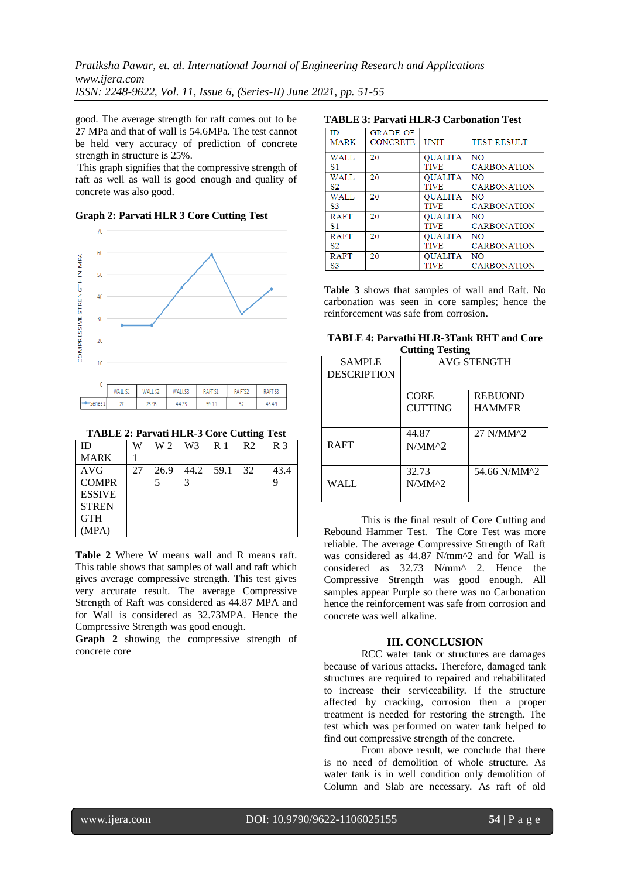good. The average strength for raft comes out to be 27 MPa and that of wall is 54.6MPa. The test cannot be held very accuracy of prediction of concrete strength in structure is 25%.

This graph signifies that the compressive strength of raft as well as wall is good enough and quality of concrete was also good.

**Graph 2: Parvati HLR 3 Core Cutting Test**



| ٠  | WA! | <b>WALL S2</b> | <b>K7</b><br>MAI I | <b>RAFTS</b><br>- | <b>RAFTS</b>   | <b>RAFT</b> |
|----|-----|----------------|--------------------|-------------------|----------------|-------------|
| -- |     | ac no          |                    | 50.1<br>----      | --<br>R.<br>-- | 43.49       |

**TABLE 2: Parvati HLR-3 Core Cutting Test**

| ID            | W  | W 2  | W3   | R <sub>1</sub> | R <sub>2</sub> | R <sub>3</sub> |
|---------------|----|------|------|----------------|----------------|----------------|
| <b>MARK</b>   |    |      |      |                |                |                |
| <b>AVG</b>    | 27 | 26.9 | 44.2 | 59.1           | 32             | 43.4           |
| <b>COMPR</b>  |    | 5    | 3    |                |                |                |
| <b>ESSIVE</b> |    |      |      |                |                |                |
| <b>STREN</b>  |    |      |      |                |                |                |
| <b>GTH</b>    |    |      |      |                |                |                |
| MPA)          |    |      |      |                |                |                |

**Table 2** Where W means wall and R means raft. This table shows that samples of wall and raft which gives average compressive strength. This test gives very accurate result. The average Compressive Strength of Raft was considered as 44.87 MPA and for Wall is considered as 32.73MPA. Hence the Compressive Strength was good enough.

**Graph 2** showing the compressive strength of concrete core

## **TABLE 3: Parvati HLR-3 Carbonation Test**

| ΙD             | <b>GRADE OF</b> |                |                    |
|----------------|-----------------|----------------|--------------------|
| <b>MARK</b>    | <b>CONCRETE</b> | <b>UNIT</b>    | <b>TEST RESULT</b> |
|                |                 |                |                    |
| <b>WALL</b>    | 20              | <b>OUALITA</b> | N <sub>O</sub>     |
| S1             |                 | <b>TIVE</b>    | <b>CARBONATION</b> |
| <b>WALL</b>    | 20              | <b>OUALITA</b> | NO.                |
| S <sub>2</sub> |                 | <b>TIVE</b>    | <b>CARBONATION</b> |
| WALL           | 20              | <b>OUALITA</b> | NO                 |
| S3             |                 | <b>TIVE</b>    | <b>CARBONATION</b> |
| <b>RAFT</b>    | 20              | <b>OUALITA</b> | NO                 |
| S1             |                 | <b>TIVE</b>    | <b>CARBONATION</b> |
| <b>RAFT</b>    | 20              | <b>QUALITA</b> | NO.                |
| 82             |                 | <b>TIVE</b>    | <b>CARBONATION</b> |
| <b>RAFT</b>    | 20              | <b>QUALITA</b> | NO                 |
| S <sub>3</sub> |                 | <b>TIVE</b>    | <b>CARBONATION</b> |

**Table 3** shows that samples of wall and Raft. No carbonation was seen in core samples; hence the reinforcement was safe from corrosion.

| TABLE 4: Parvathi HLR-3Tank RHT and Core |
|------------------------------------------|
| <b>Cutting Testing</b>                   |

| <b>SAMPLE</b><br><b>DESCRIPTION</b> | <b>AVG STENGTH</b>  |                |  |
|-------------------------------------|---------------------|----------------|--|
|                                     | <b>CORE</b>         | <b>REBUOND</b> |  |
|                                     | <b>CUTTING</b>      | <b>HAMMER</b>  |  |
| <b>RAFT</b>                         | 44.87<br>$N/MM^{2}$ | 27 N/MM^2      |  |
| WALL                                | 32.73<br>$N/MM^{2}$ | 54.66 N/MM^2   |  |

This is the final result of Core Cutting and Rebound Hammer Test. The Core Test was more reliable. The average Compressive Strength of Raft was considered as  $44.87$  N/mm<sup> $\lambda$ </sup> and for Wall is considered as 32.73 N/mm^ 2. Hence the Compressive Strength was good enough. All samples appear Purple so there was no Carbonation hence the reinforcement was safe from corrosion and concrete was well alkaline.

## **III. CONCLUSION**

RCC water tank or structures are damages because of various attacks. Therefore, damaged tank structures are required to repaired and rehabilitated to increase their serviceability. If the structure affected by cracking, corrosion then a proper treatment is needed for restoring the strength. The test which was performed on water tank helped to find out compressive strength of the concrete.

From above result, we conclude that there is no need of demolition of whole structure. As water tank is in well condition only demolition of Column and Slab are necessary. As raft of old